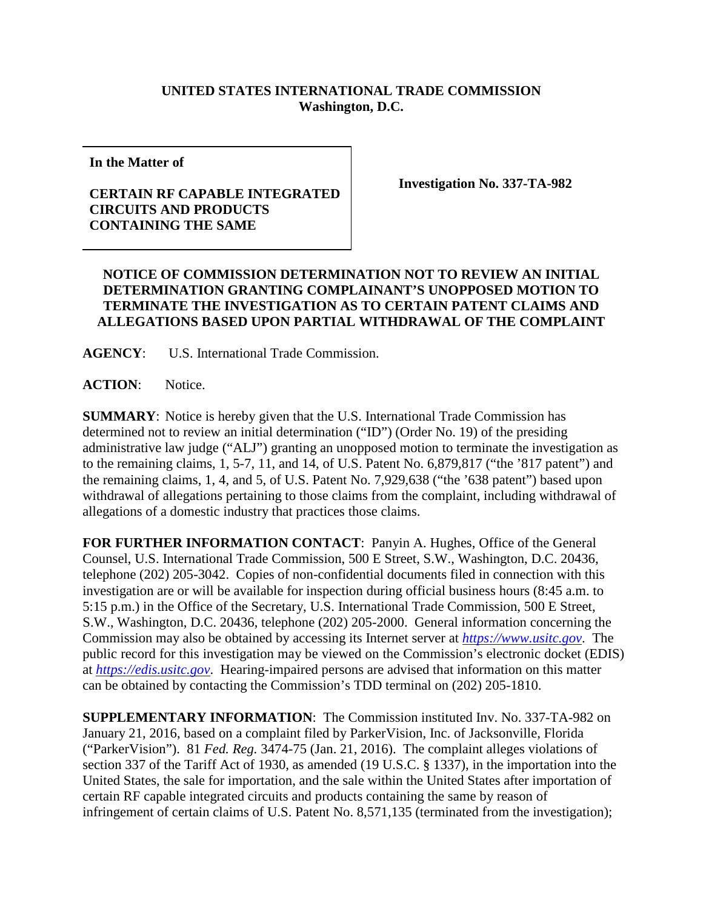## **UNITED STATES INTERNATIONAL TRADE COMMISSION Washington, D.C.**

**In the Matter of**

## **CERTAIN RF CAPABLE INTEGRATED CIRCUITS AND PRODUCTS CONTAINING THE SAME**

**Investigation No. 337-TA-982**

## **NOTICE OF COMMISSION DETERMINATION NOT TO REVIEW AN INITIAL DETERMINATION GRANTING COMPLAINANT'S UNOPPOSED MOTION TO TERMINATE THE INVESTIGATION AS TO CERTAIN PATENT CLAIMS AND ALLEGATIONS BASED UPON PARTIAL WITHDRAWAL OF THE COMPLAINT**

**AGENCY**: U.S. International Trade Commission.

**ACTION**: Notice.

**SUMMARY**: Notice is hereby given that the U.S. International Trade Commission has determined not to review an initial determination ("ID") (Order No. 19) of the presiding administrative law judge ("ALJ") granting an unopposed motion to terminate the investigation as to the remaining claims, 1, 5-7, 11, and 14, of U.S. Patent No. 6,879,817 ("the '817 patent") and the remaining claims, 1, 4, and 5, of U.S. Patent No. 7,929,638 ("the '638 patent") based upon withdrawal of allegations pertaining to those claims from the complaint, including withdrawal of allegations of a domestic industry that practices those claims.

**FOR FURTHER INFORMATION CONTACT**: Panyin A. Hughes, Office of the General Counsel, U.S. International Trade Commission, 500 E Street, S.W., Washington, D.C. 20436, telephone (202) 205-3042. Copies of non-confidential documents filed in connection with this investigation are or will be available for inspection during official business hours (8:45 a.m. to 5:15 p.m.) in the Office of the Secretary, U.S. International Trade Commission, 500 E Street, S.W., Washington, D.C. 20436, telephone (202) 205-2000. General information concerning the Commission may also be obtained by accessing its Internet server at *[https://www.usitc.gov](https://www.usitc.gov/)*. The public record for this investigation may be viewed on the Commission's electronic docket (EDIS) at *[https://edis.usitc.gov](https://edis.usitc.gov/)*. Hearing-impaired persons are advised that information on this matter can be obtained by contacting the Commission's TDD terminal on (202) 205-1810.

**SUPPLEMENTARY INFORMATION**: The Commission instituted Inv. No. 337-TA-982 on January 21, 2016, based on a complaint filed by ParkerVision, Inc. of Jacksonville, Florida ("ParkerVision"). 81 *Fed. Reg.* 3474-75 (Jan. 21, 2016). The complaint alleges violations of section 337 of the Tariff Act of 1930, as amended (19 U.S.C. § 1337), in the importation into the United States, the sale for importation, and the sale within the United States after importation of certain RF capable integrated circuits and products containing the same by reason of infringement of certain claims of U.S. Patent No. 8,571,135 (terminated from the investigation);